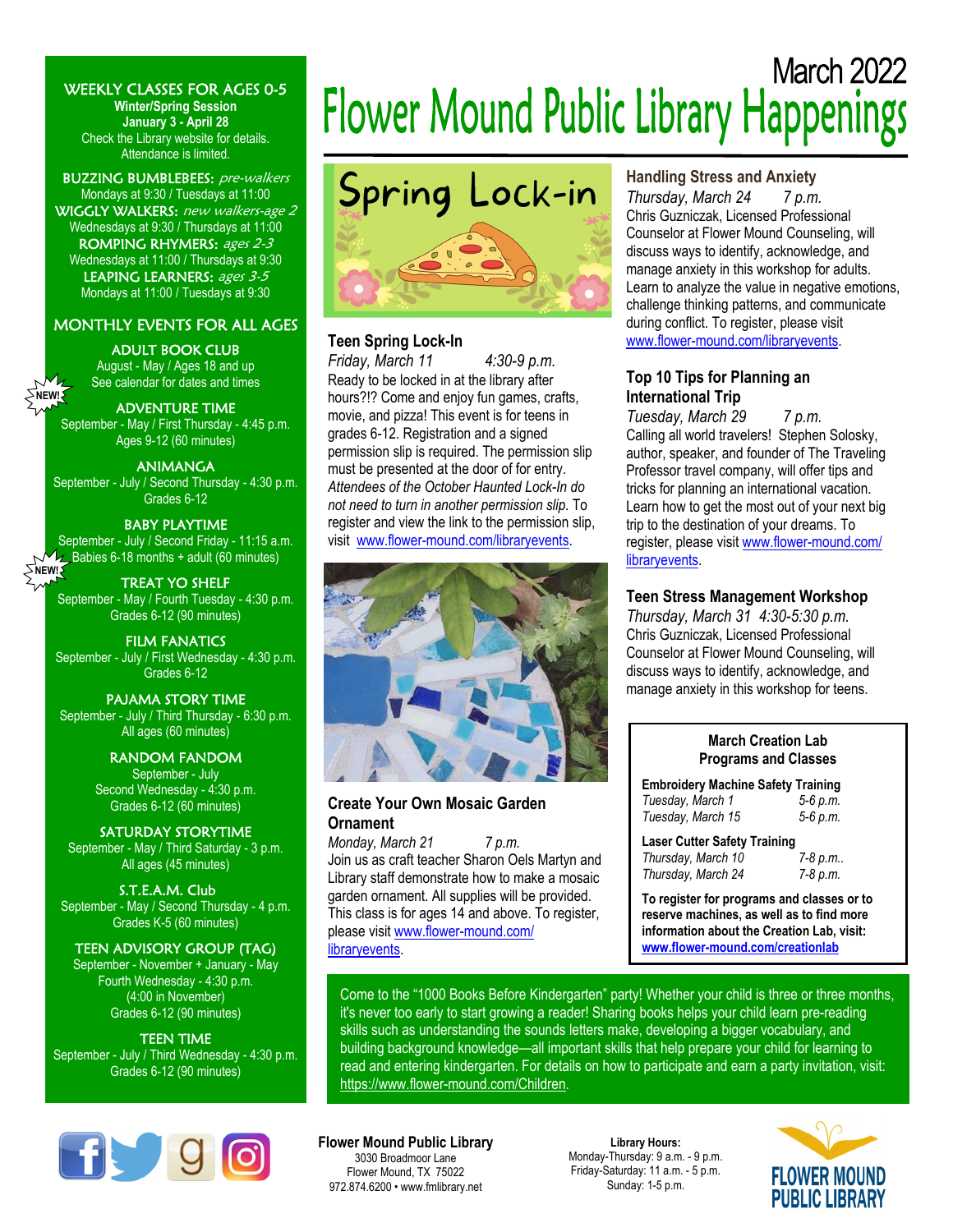WEEKLY CLASSES FOR AGES 0-5

**Winter/Spring Session January 3 - April 28**  Check the Library website for details. Attendance is limited.

BUZZING BUMBLEBEES: pre-walkers Mondays at 9:30 / Tuesdays at 11:00 WIGGLY WALKERS: new walkers-age 2 Wednesdays at 9:30 / Thursdays at 11:00 ROMPING RHYMERS: ages 2-3 Wednesdays at 11:00 / Thursdays at 9:30 LEAPING LEARNERS: ages 3-5 Mondays at 11:00 / Tuesdays at 9:30

# MONTHLY EVENTS FOR ALL AGES

#### ADULT BOOK CLUB

August - May / Ages 18 and up See calendar for dates and times

#### ADVENTURE TIME

**NEW!** 

September - May / First Thursday - 4:45 p.m. Ages 9-12 (60 minutes)

#### ANIMANGA

September - July / Second Thursday - 4:30 p.m. Grades 6-12

#### BABY PLAYTIME

September - July / Second Friday - 11:15 a.m.  $\sim$  Babies 6-18 months + adult (60 minutes) **SNEW!** 

TREAT YO SHELF September - May / Fourth Tuesday - 4:30 p.m. Grades 6-12 (90 minutes)

FILM FANATICS September - July / First Wednesday - 4:30 p.m. Grades 6-12

# PAJAMA STORY TIME

September - July / Third Thursday - 6:30 p.m. All ages (60 minutes)

> RANDOM FANDOM September - July Second Wednesday - 4:30 p.m. Grades 6-12 (60 minutes)

SATURDAY STORYTIME September - May / Third Saturday - 3 p.m. All ages (45 minutes)

S.T.E.A.M. Club September - May / Second Thursday - 4 p.m. Grades K-5 (60 minutes)

# TEEN ADVISORY GROUP (TAG)

September - November + January - May Fourth Wednesday - 4:30 p.m. (4:00 in November) Grades 6-12 (90 minutes)

TEEN TIME September - July / Third Wednesday - 4:30 p.m. Grades 6-12 (90 minutes)



# **March 2022** Flower Mound Public Library Happenings



# **Teen Spring Lock-In**

*Friday, March 11 4:30-9 p.m.*  Ready to be locked in at the library after hours?!? Come and enjoy fun games, crafts, movie, and pizza! This event is for teens in grades 6-12. Registration and a signed permission slip is required. The permission slip must be presented at the door of for entry. *Attendees of the October Haunted Lock-In do not need to turn in another permission slip.* To register and view the link to the permission slip, visit www.flower-mound.com/libraryevents.



# **Create Your Own Mosaic Garden Ornament**

*Monday, March 21 7 p.m.* Join us as craft teacher Sharon Oels Martyn and Library staff demonstrate how to make a mosaic garden ornament. All supplies will be provided. This class is for ages 14 and above. To register, please visit www.flower-mound.com/ libraryevents.

# **Handling Stress and Anxiety**

*Thursday, March 24 7 p.m.*  Chris Guzniczak, Licensed Professional Counselor at Flower Mound Counseling, will discuss ways to identify, acknowledge, and manage anxiety in this workshop for adults. Learn to analyze the value in negative emotions, challenge thinking patterns, and communicate during conflict. To register, please visit www.flower-mound.com/libraryevents.

# **Top 10 Tips for Planning an International Trip**

*Tuesday, March 29 7 p.m.*  Calling all world travelers! Stephen Solosky, author, speaker, and founder of The Traveling Professor travel company, will offer tips and tricks for planning an international vacation. Learn how to get the most out of your next big trip to the destination of your dreams. To register, please visit www.flower-mound.com/ libraryevents.

# **Teen Stress Management Workshop**

*Thursday, March 31 4:30-5:30 p.m.*  Chris Guzniczak, Licensed Professional Counselor at Flower Mound Counseling, will discuss ways to identify, acknowledge, and manage anxiety in this workshop for teens.

# **March Creation Lab Programs and Classes**

**Embroidery Machine Safety Training**  *Tuesday, March 1 5-6 p.m. Tuesday, March 15 5-6 p.m.* 

Laser Cutter Safety Training<br>Thursday, March 10 7-8 p.m.. *Thursday, March 10 Thursday, March 24 7-8 p.m.*

**To register for programs and classes or to reserve machines, as well as to find more information about the Creation Lab, visit: www.flower-mound.com/creationlab**

Come to the "1000 Books Before Kindergarten" party! Whether your child is three or three months, it's never too early to start growing a reader! Sharing books helps your child learn pre-reading skills such as understanding the sounds letters make, developing a bigger vocabulary, and

building background knowledge—all important skills that help prepare your child for learning to read and entering kindergarten. For details on how to participate and earn a party invitation, visit: https://www.flower-mound.com/Children.

# **Flower Mound Public Library**

3030 Broadmoor Lane Flower Mound, TX 75022 972.874.6200 • www.fmlibrary.net

**Library Hours:**  Monday-Thursday: 9 a.m. - 9 p.m. Friday-Saturday: 11 a.m. - 5 p.m. Sunday: 1-5 p.m.